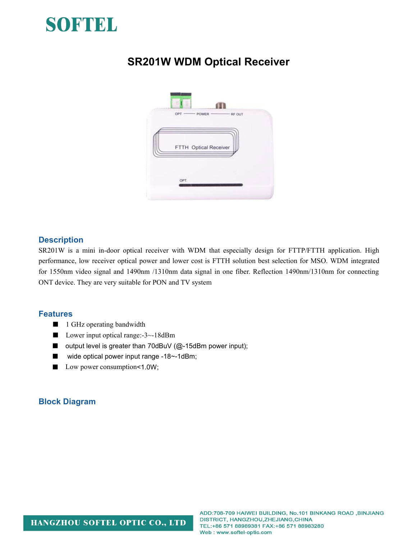

# **SR201W WDM Optical Receiver**



#### **Description**

SR201W is a mini in-door optical receiver with WDM that especially design for FTTP/FTTH application. High performance, low receiver optical power and lower cost is FTTH solution best selection for MSO. WDM integrated for 1550nm video signal and 1490nm /1310nm data signal in one fiber. Reflection 1490nm/1310nm for connecting ONT device. They are very suitable for PON and TV system

#### **Features**

- 1 GHz operating bandwidth
- Lower input optical range:-3~-18dBm
- output level is greater than 70dBuV (@-15dBm power input);
- wide optical power input range -18~-1dBm;
- Low power consumption <1.0W;

#### **Block Diagram**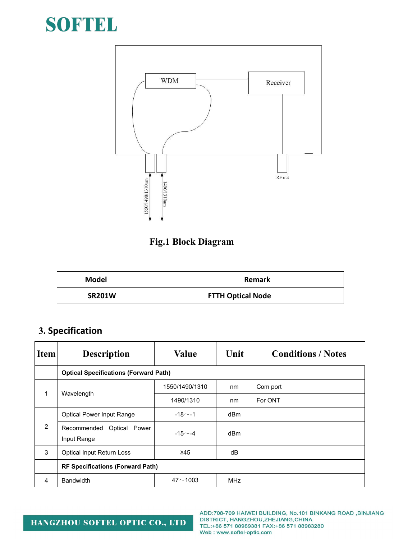



### **Fig.1 Block Diagram**

| <b>Model</b>  | <b>Remark</b>            |  |  |  |
|---------------|--------------------------|--|--|--|
| <b>SR201W</b> | <b>FTTH Optical Node</b> |  |  |  |

## **3. Specification**

| Item <sup>1</sup> | <b>Description</b>                           | <b>Value</b>   | Unit       | <b>Conditions / Notes</b> |  |  |  |
|-------------------|----------------------------------------------|----------------|------------|---------------------------|--|--|--|
|                   | <b>Optical Specifications (Forward Path)</b> |                |            |                           |  |  |  |
|                   | Wavelength                                   | 1550/1490/1310 | nm         | Com port                  |  |  |  |
|                   |                                              | 1490/1310      | nm         | For ONT                   |  |  |  |
| $\overline{2}$    | <b>Optical Power Input Range</b>             | $-18$ $-1$     | dBm        |                           |  |  |  |
|                   | Recommended Optical Power<br>Input Range     | $-15 - -4$     | dBm        |                           |  |  |  |
| 3                 | Optical Input Return Loss                    | $\geq 45$      | dB         |                           |  |  |  |
|                   | <b>RF Specifications (Forward Path)</b>      |                |            |                           |  |  |  |
| 4                 | <b>Bandwidth</b>                             | $47 - 1003$    | <b>MHz</b> |                           |  |  |  |